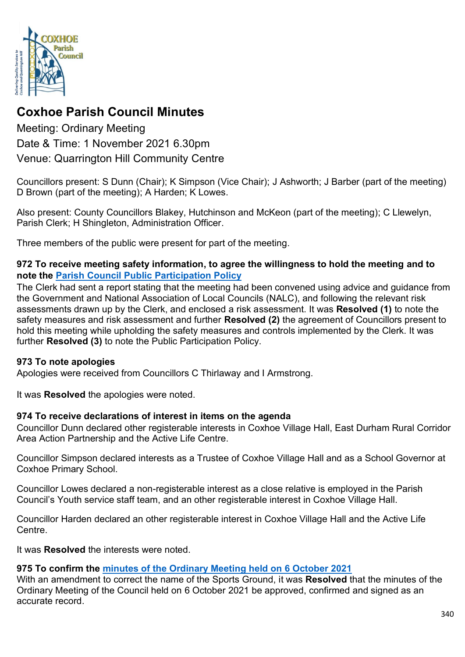

# **Coxhoe Parish Council Minutes**

Meeting: Ordinary Meeting Date & Time: 1 November 2021 6.30pm Venue: Quarrington Hill Community Centre

Councillors present: S Dunn (Chair); K Simpson (Vice Chair); J Ashworth; J Barber (part of the meeting) D Brown (part of the meeting); A Harden; K Lowes.

Also present: County Councillors Blakey, Hutchinson and McKeon (part of the meeting); C Llewelyn, Parish Clerk; H Shingleton, Administration Officer.

Three members of the public were present for part of the meeting.

#### **972 To receive meeting safety information, to agree the willingness to hold the meeting and to note the [Parish Council Public Participation Policy](http://coxhoeparishcouncil.gov.uk/important-documents-and-policies/public-participation-policy-fmarch-2020-review-date-march-2022/)**

The Clerk had sent a report stating that the meeting had been convened using advice and guidance from the Government and National Association of Local Councils (NALC), and following the relevant risk assessments drawn up by the Clerk, and enclosed a risk assessment. It was **Resolved (1)** to note the safety measures and risk assessment and further **Resolved (2)** the agreement of Councillors present to hold this meeting while upholding the safety measures and controls implemented by the Clerk. It was further **Resolved (3)** to note the Public Participation Policy.

# **973 To note apologies**

Apologies were received from Councillors C Thirlaway and I Armstrong.

It was **Resolved** the apologies were noted.

# **974 To receive declarations of interest in items on the agenda**

Councillor Dunn declared other registerable interests in Coxhoe Village Hall, East Durham Rural Corridor Area Action Partnership and the Active Life Centre.

Councillor Simpson declared interests as a Trustee of Coxhoe Village Hall and as a School Governor at Coxhoe Primary School.

Councillor Lowes declared a non-registerable interest as a close relative is employed in the Parish Council's Youth service staff team, and an other registerable interest in Coxhoe Village Hall.

Councillor Harden declared an other registerable interest in Coxhoe Village Hall and the Active Life Centre.

It was **Resolved** the interests were noted.

# **975 To confirm the [minutes of the Ordinary Meeting held on 6 October 2021](https://1drv.ms/b/s!Alg_TKmu7xwUgcwploK1BlP9JcJuXA?e=eqYgr4)**

With an amendment to correct the name of the Sports Ground, it was **Resolved** that the minutes of the Ordinary Meeting of the Council held on 6 October 2021 be approved, confirmed and signed as an accurate record.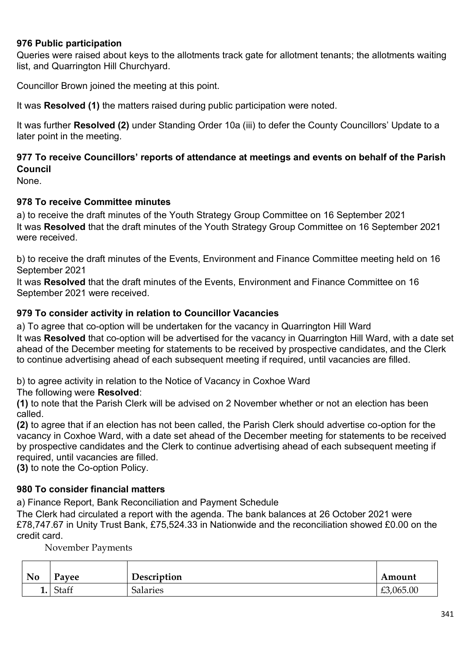#### **976 Public participation**

Queries were raised about keys to the allotments track gate for allotment tenants; the allotments waiting list, and Quarrington Hill Churchyard.

Councillor Brown joined the meeting at this point.

It was **Resolved (1)** the matters raised during public participation were noted.

It was further **Resolved (2)** under Standing Order 10a (iii) to defer the County Councillors' Update to a later point in the meeting.

# **977 To receive Councillors' reports of attendance at meetings and events on behalf of the Parish Council**

None.

#### **978 To receive Committee minutes**

a) to receive the draft minutes of the Youth Strategy Group Committee on 16 September 2021 It was **Resolved** that the draft minutes of the Youth Strategy Group Committee on 16 September 2021 were received.

b) to receive the draft minutes of the Events, Environment and Finance Committee meeting held on 16 September 2021

It was **Resolved** that the draft minutes of the Events, Environment and Finance Committee on 16 September 2021 were received.

#### **979 To consider activity in relation to Councillor Vacancies**

a) To agree that co-option will be undertaken for the vacancy in Quarrington Hill Ward It was **Resolved** that co-option will be advertised for the vacancy in Quarrington Hill Ward, with a date set ahead of the December meeting for statements to be received by prospective candidates, and the Clerk to continue advertising ahead of each subsequent meeting if required, until vacancies are filled.

b) to agree activity in relation to the Notice of Vacancy in Coxhoe Ward

The following were **Resolved**:

**(1)** to note that the Parish Clerk will be advised on 2 November whether or not an election has been called.

**(2)** to agree that if an election has not been called, the Parish Clerk should advertise co-option for the vacancy in Coxhoe Ward, with a date set ahead of the December meeting for statements to be received by prospective candidates and the Clerk to continue advertising ahead of each subsequent meeting if required, until vacancies are filled.

**(3)** to note the Co-option Policy.

#### **980 To consider financial matters**

a) Finance Report, Bank Reconciliation and Payment Schedule

The Clerk had circulated a report with the agenda. The bank balances at 26 October 2021 were £78,747.67 in Unity Trust Bank, £75,524.33 in Nationwide and the reconciliation showed £0.00 on the credit card.

November Payments

| <b>No</b> | Payee | Description | Amount            |
|-----------|-------|-------------|-------------------|
| <b>.</b>  | Staff | Salaries    | ,065.00<br>$\sim$ |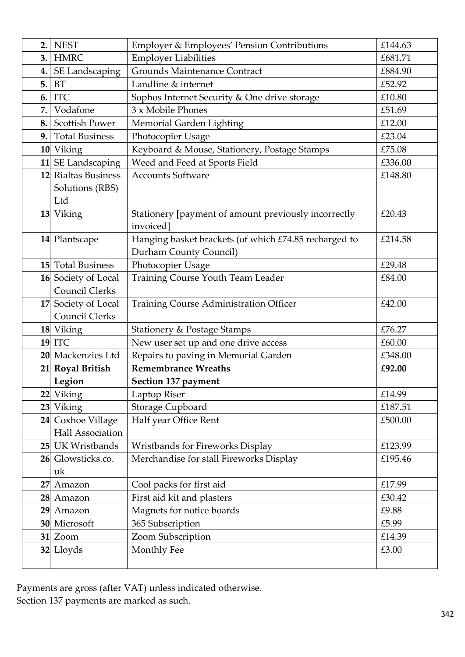| 2. | <b>NEST</b>             | <b>Employer &amp; Employees' Pension Contributions</b>                          | £144.63 |
|----|-------------------------|---------------------------------------------------------------------------------|---------|
| 3. | <b>HMRC</b>             | <b>Employer Liabilities</b>                                                     | £681.71 |
| 4. | SE Landscaping          | Grounds Maintenance Contract                                                    | £884.90 |
| 5. | <b>BT</b>               | Landline & internet                                                             | £52.92  |
| 6. | <b>ITC</b>              | Sophos Internet Security & One drive storage                                    | £10.80  |
| 7. | Vodafone                | 3 x Mobile Phones                                                               | £51.69  |
| 8. | <b>Scottish Power</b>   | Memorial Garden Lighting                                                        | £12.00  |
| 9. | <b>Total Business</b>   | Photocopier Usage                                                               | £23.04  |
|    | 10 Viking               | Keyboard & Mouse, Stationery, Postage Stamps                                    | £75.08  |
|    | 11 SE Landscaping       | Weed and Feed at Sports Field                                                   | £336.00 |
|    | 12 Rialtas Business     | <b>Accounts Software</b>                                                        | £148.80 |
|    | Solutions (RBS)         |                                                                                 |         |
|    | Ltd                     |                                                                                 |         |
|    | 13 Viking               | Stationery [payment of amount previously incorrectly<br>invoiced]               | £20.43  |
|    | 14 Plantscape           | Hanging basket brackets (of which £74.85 recharged to<br>Durham County Council) | £214.58 |
|    | 15 Total Business       | Photocopier Usage                                                               | £29.48  |
|    | 16 Society of Local     | Training Course Youth Team Leader                                               | £84.00  |
|    | Council Clerks          |                                                                                 |         |
| 17 | Society of Local        | <b>Training Course Administration Officer</b>                                   | £42.00  |
|    | <b>Council Clerks</b>   |                                                                                 |         |
|    | 18 Viking               | <b>Stationery &amp; Postage Stamps</b>                                          | £76.27  |
|    | <b>19 ITC</b>           | New user set up and one drive access                                            | £60.00  |
|    | 20 Mackenzies Ltd       | Repairs to paving in Memorial Garden                                            | £348.00 |
|    | 21 Royal British        | <b>Remembrance Wreaths</b>                                                      | £92.00  |
|    | Legion                  | Section 137 payment                                                             |         |
| 22 | Viking                  | Laptop Riser                                                                    | £14.99  |
|    | 23 Viking               | Storage Cupboard                                                                | £187.51 |
|    | 24 Coxhoe Village       | Half year Office Rent                                                           | £500.00 |
|    | Hall Association        |                                                                                 |         |
|    | 25 UK Wristbands        | Wristbands for Fireworks Display                                                | £123.99 |
|    | 26 Glowsticks.co.<br>uk | Merchandise for stall Fireworks Display                                         | £195.46 |
| 27 | Amazon                  | Cool packs for first aid                                                        | £17.99  |
|    | 28 Amazon               | First aid kit and plasters                                                      | £30.42  |
|    | 29 Amazon               | Magnets for notice boards                                                       | £9.88   |
|    | 30 Microsoft            | 365 Subscription                                                                | £5.99   |
|    | 31 Zoom                 | Zoom Subscription                                                               | £14.39  |
|    | 32 Lloyds               | Monthly Fee                                                                     | £3.00   |

Payments are gross (after VAT) unless indicated otherwise. Section 137 payments are marked as such.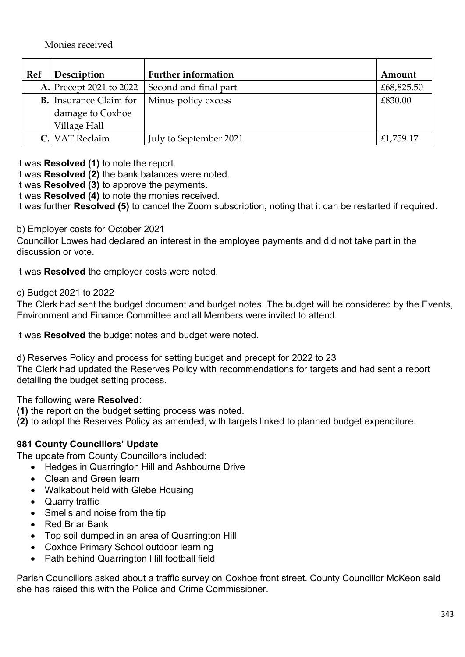| Ref | Description                    | <b>Further information</b> | Amount     |
|-----|--------------------------------|----------------------------|------------|
|     | <b>A.</b> Precept 2021 to 2022 | Second and final part      | £68,825.50 |
|     | <b>B.</b> Insurance Claim for  | Minus policy excess        | £830.00    |
|     | damage to Coxhoe               |                            |            |
|     | Village Hall                   |                            |            |
|     | VAT Reclaim                    | July to September 2021     | £1,759.17  |

It was **Resolved (1)** to note the report.

It was **Resolved (2)** the bank balances were noted.

It was **Resolved (3)** to approve the payments.

It was **Resolved (4)** to note the monies received.

It was further **Resolved (5)** to cancel the Zoom subscription, noting that it can be restarted if required.

#### b) Employer costs for October 2021

Councillor Lowes had declared an interest in the employee payments and did not take part in the discussion or vote.

It was **Resolved** the employer costs were noted.

c) Budget 2021 to 2022

The Clerk had sent the budget document and budget notes. The budget will be considered by the Events, Environment and Finance Committee and all Members were invited to attend.

It was **Resolved** the budget notes and budget were noted.

d) Reserves Policy and process for setting budget and precept for 2022 to 23 The Clerk had updated the Reserves Policy with recommendations for targets and had sent a report detailing the budget setting process.

The following were **Resolved**:

- **(1)** the report on the budget setting process was noted.
- **(2)** to adopt the Reserves Policy as amended, with targets linked to planned budget expenditure.

#### **981 County Councillors' Update**

The update from County Councillors included:

- Hedges in Quarrington Hill and Ashbourne Drive
- Clean and Green team
- Walkabout held with Glebe Housing
- Quarry traffic
- Smells and noise from the tip
- Red Briar Bank
- Top soil dumped in an area of Quarrington Hill
- Coxhoe Primary School outdoor learning
- Path behind Quarrington Hill football field

Parish Councillors asked about a traffic survey on Coxhoe front street. County Councillor McKeon said she has raised this with the Police and Crime Commissioner.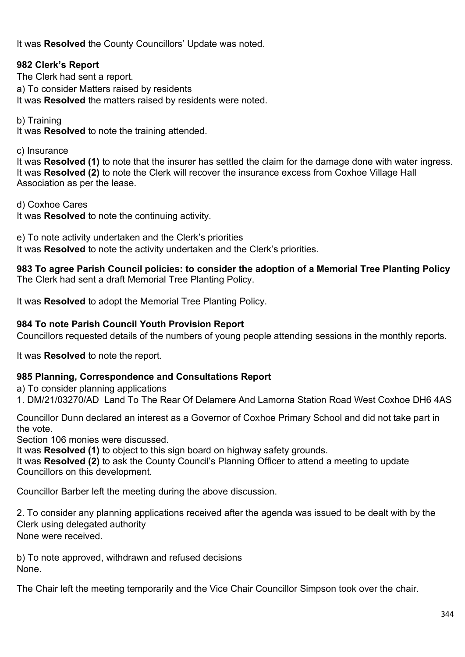It was **Resolved** the County Councillors' Update was noted.

### **982 Clerk's Report**

The Clerk had sent a report. a) To consider Matters raised by residents It was **Resolved** the matters raised by residents were noted.

b) Training

It was **Resolved** to note the training attended.

c) Insurance

It was **Resolved (1)** to note that the insurer has settled the claim for the damage done with water ingress. It was **Resolved (2)** to note the Clerk will recover the insurance excess from Coxhoe Village Hall Association as per the lease.

d) Coxhoe Cares

It was **Resolved** to note the continuing activity.

e) To note activity undertaken and the Clerk's priorities It was **Resolved** to note the activity undertaken and the Clerk's priorities.

**983 To agree Parish Council policies: to consider the adoption of a Memorial Tree Planting Policy** The Clerk had sent a draft Memorial Tree Planting Policy.

It was **Resolved** to adopt the Memorial Tree Planting Policy.

#### **984 To note Parish Council Youth Provision Report**

Councillors requested details of the numbers of young people attending sessions in the monthly reports.

It was **Resolved** to note the report.

#### **985 Planning, Correspondence and Consultations Report**

a) To consider planning applications

1. [DM/21/03270/AD](https://publicaccess.durham.gov.uk/online-applications/simpleSearchResults.do?action=firstPage) Land To The Rear Of Delamere And Lamorna Station Road West Coxhoe DH6 4AS

Councillor Dunn declared an interest as a Governor of Coxhoe Primary School and did not take part in the vote.

Section 106 monies were discussed.

It was **Resolved (1)** to object to this sign board on highway safety grounds.

It was **Resolved (2)** to ask the County Council's Planning Officer to attend a meeting to update Councillors on this development.

Councillor Barber left the meeting during the above discussion.

2. To consider any planning applications received after the agenda was issued to be dealt with by the Clerk using delegated authority None were received.

b) To note approved, withdrawn and refused decisions None.

The Chair left the meeting temporarily and the Vice Chair Councillor Simpson took over the chair.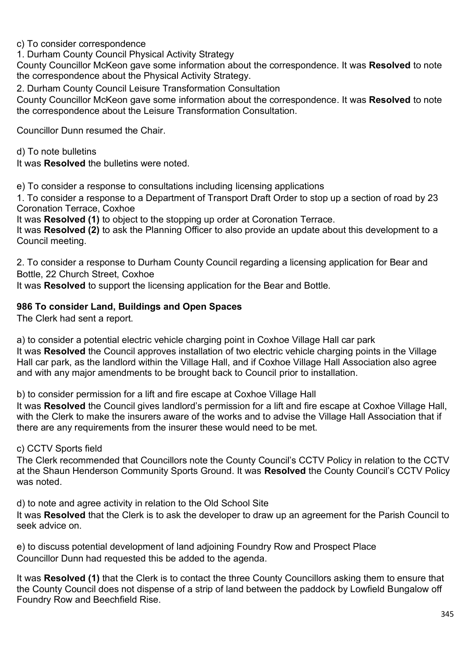c) To consider correspondence

1. Durham County Council Physical Activity Strategy

County Councillor McKeon gave some information about the correspondence. It was **Resolved** to note the correspondence about the Physical Activity Strategy.

2. Durham County Council Leisure Transformation Consultation

County Councillor McKeon gave some information about the correspondence. It was **Resolved** to note the correspondence about the Leisure Transformation Consultation.

Councillor Dunn resumed the Chair.

d) To note bulletins

It was **Resolved** the bulletins were noted.

e) To consider a response to consultations including licensing applications

1. To consider a response to a Department of Transport Draft Order to stop up a section of road by 23 Coronation Terrace, Coxhoe

It was **Resolved (1)** to object to the stopping up order at Coronation Terrace.

It was **Resolved (2)** to ask the Planning Officer to also provide an update about this development to a Council meeting.

2. To consider a response to Durham County Council regarding a licensing application for Bear and Bottle, 22 Church Street, Coxhoe

It was **Resolved** to support the licensing application for the Bear and Bottle.

#### **986 To consider Land, Buildings and Open Spaces**

The Clerk had sent a report.

a) to consider a potential electric vehicle charging point in Coxhoe Village Hall car park It was **Resolved** the Council approves installation of two electric vehicle charging points in the Village Hall car park, as the landlord within the Village Hall, and if Coxhoe Village Hall Association also agree and with any major amendments to be brought back to Council prior to installation.

b) to consider permission for a lift and fire escape at Coxhoe Village Hall

It was **Resolved** the Council gives landlord's permission for a lift and fire escape at Coxhoe Village Hall, with the Clerk to make the insurers aware of the works and to advise the Village Hall Association that if there are any requirements from the insurer these would need to be met.

#### c) CCTV Sports field

The Clerk recommended that Councillors note the County Council's CCTV Policy in relation to the CCTV at the Shaun Henderson Community Sports Ground. It was **Resolved** the County Council's CCTV Policy was noted

d) to note and agree activity in relation to the Old School Site

It was **Resolved** that the Clerk is to ask the developer to draw up an agreement for the Parish Council to seek advice on.

e) to discuss potential development of land adjoining Foundry Row and Prospect Place Councillor Dunn had requested this be added to the agenda.

It was **Resolved (1)** that the Clerk is to contact the three County Councillors asking them to ensure that the County Council does not dispense of a strip of land between the paddock by Lowfield Bungalow off Foundry Row and Beechfield Rise.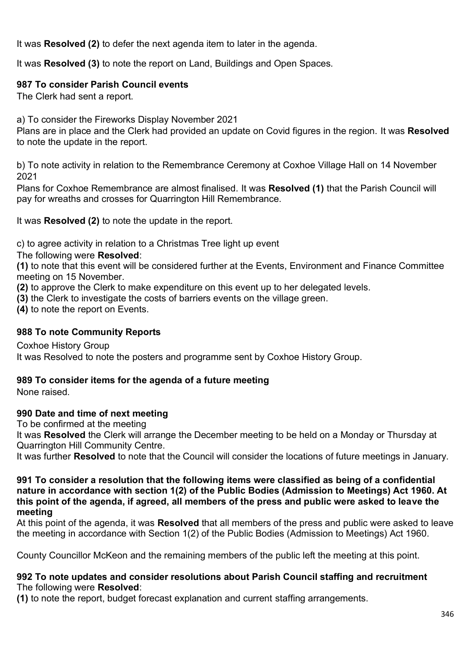It was **Resolved (2)** to defer the next agenda item to later in the agenda.

It was **Resolved (3)** to note the report on Land, Buildings and Open Spaces.

# **987 To consider Parish Council events**

The Clerk had sent a report.

a) To consider the Fireworks Display November 2021

Plans are in place and the Clerk had provided an update on Covid figures in the region. It was **Resolved** to note the update in the report.

b) To note activity in relation to the Remembrance Ceremony at Coxhoe Village Hall on 14 November 2021

Plans for Coxhoe Remembrance are almost finalised. It was **Resolved (1)** that the Parish Council will pay for wreaths and crosses for Quarrington Hill Remembrance.

It was **Resolved (2)** to note the update in the report.

c) to agree activity in relation to a Christmas Tree light up event

The following were **Resolved**:

**(1)** to note that this event will be considered further at the Events, Environment and Finance Committee meeting on 15 November.

**(2)** to approve the Clerk to make expenditure on this event up to her delegated levels.

**(3)** the Clerk to investigate the costs of barriers events on the village green.

**(4)** to note the report on Events.

# **988 To note Community Reports**

Coxhoe History Group It was Resolved to note the posters and programme sent by Coxhoe History Group.

# **989 To consider items for the agenda of a future meeting**

None raised.

# **990 Date and time of next meeting**

To be confirmed at the meeting

It was **Resolved** the Clerk will arrange the December meeting to be held on a Monday or Thursday at Quarrington Hill Community Centre.

It was further **Resolved** to note that the Council will consider the locations of future meetings in January.

#### **991 To consider a resolution that the following items were classified as being of a confidential nature in accordance with section 1(2) of the Public Bodies (Admission to Meetings) Act 1960. At this point of the agenda, if agreed, all members of the press and public were asked to leave the meeting**

At this point of the agenda, it was **Resolved** that all members of the press and public were asked to leave the meeting in accordance with Section 1(2) of the Public Bodies (Admission to Meetings) Act 1960.

County Councillor McKeon and the remaining members of the public left the meeting at this point.

#### **992 To note updates and consider resolutions about Parish Council staffing and recruitment**  The following were **Resolved**:

**(1)** to note the report, budget forecast explanation and current staffing arrangements.